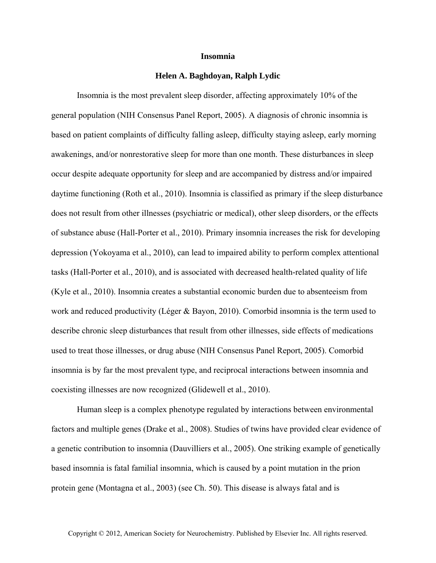## **Insomnia**

## **Helen A. Baghdoyan, Ralph Lydic**

Insomnia is the most prevalent sleep disorder, affecting approximately 10% of the general population (NIH Consensus Panel Report, 2005). A diagnosis of chronic insomnia is based on patient complaints of difficulty falling asleep, difficulty staying asleep, early morning awakenings, and/or nonrestorative sleep for more than one month. These disturbances in sleep occur despite adequate opportunity for sleep and are accompanied by distress and/or impaired daytime functioning (Roth et al., 2010). Insomnia is classified as primary if the sleep disturbance does not result from other illnesses (psychiatric or medical), other sleep disorders, or the effects of substance abuse (Hall-Porter et al., 2010). Primary insomnia increases the risk for developing depression (Yokoyama et al., 2010), can lead to impaired ability to perform complex attentional tasks (Hall-Porter et al., 2010), and is associated with decreased health-related quality of life (Kyle et al., 2010). Insomnia creates a substantial economic burden due to absenteeism from work and reduced productivity (Léger & Bayon, 2010). Comorbid insomnia is the term used to describe chronic sleep disturbances that result from other illnesses, side effects of medications used to treat those illnesses, or drug abuse (NIH Consensus Panel Report, 2005). Comorbid insomnia is by far the most prevalent type, and reciprocal interactions between insomnia and coexisting illnesses are now recognized (Glidewell et al., 2010).

Human sleep is a complex phenotype regulated by interactions between environmental factors and multiple genes (Drake et al., 2008). Studies of twins have provided clear evidence of a genetic contribution to insomnia (Dauvilliers et al., 2005). One striking example of genetically based insomnia is fatal familial insomnia, which is caused by a point mutation in the prion protein gene (Montagna et al., 2003) (see Ch. 50). This disease is always fatal and is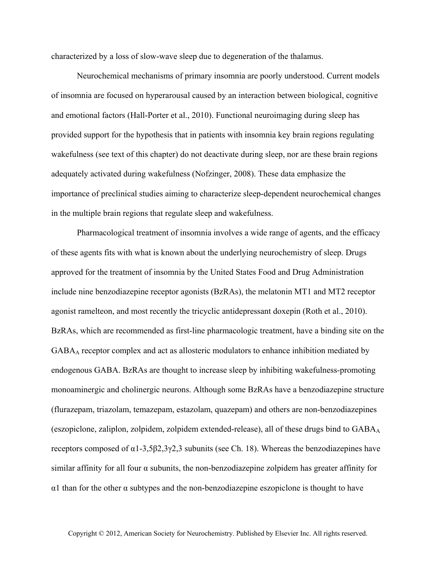characterized by a loss of slow-wave sleep due to degeneration of the thalamus.

Neurochemical mechanisms of primary insomnia are poorly understood. Current models of insomnia are focused on hyperarousal caused by an interaction between biological, cognitive and emotional factors (Hall-Porter et al., 2010). Functional neuroimaging during sleep has provided support for the hypothesis that in patients with insomnia key brain regions regulating wakefulness (see text of this chapter) do not deactivate during sleep, nor are these brain regions adequately activated during wakefulness (Nofzinger, 2008). These data emphasize the importance of preclinical studies aiming to characterize sleep-dependent neurochemical changes in the multiple brain regions that regulate sleep and wakefulness.

Pharmacological treatment of insomnia involves a wide range of agents, and the efficacy of these agents fits with what is known about the underlying neurochemistry of sleep. Drugs approved for the treatment of insomnia by the United States Food and Drug Administration include nine benzodiazepine receptor agonists (BzRAs), the melatonin MT1 and MT2 receptor agonist ramelteon, and most recently the tricyclic antidepressant doxepin (Roth et al., 2010). BzRAs, which are recommended as first-line pharmacologic treatment, have a binding site on the  $GABA_A$  receptor complex and act as allosteric modulators to enhance inhibition mediated by endogenous GABA. BzRAs are thought to increase sleep by inhibiting wakefulness-promoting monoaminergic and cholinergic neurons. Although some BzRAs have a benzodiazepine structure (flurazepam, triazolam, temazepam, estazolam, quazepam) and others are non-benzodiazepines (eszopiclone, zaliplon, zolpidem, zolpidem extended-release), all of these drugs bind to  $GABA_A$ receptors composed of  $α1-3,5β2,3γ2,3$  subunits (see Ch. 18). Whereas the benzodiazepines have similar affinity for all four  $\alpha$  subunits, the non-benzodiazepine zolpidem has greater affinity for  $\alpha$ 1 than for the other  $\alpha$  subtypes and the non-benzodiazepine eszopiclone is thought to have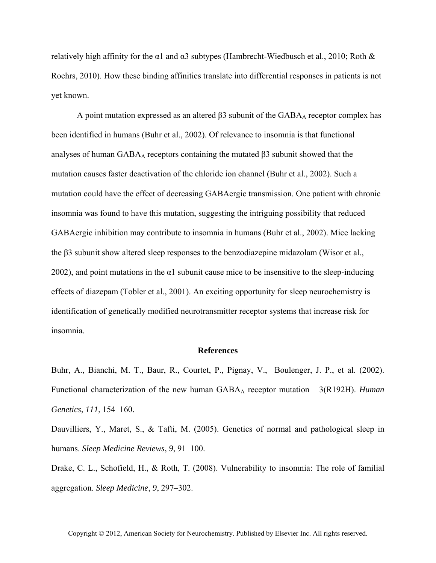relatively high affinity for the  $\alpha$ 1 and  $\alpha$ 3 subtypes (Hambrecht-Wiedbusch et al., 2010; Roth & Roehrs, 2010). How these binding affinities translate into differential responses in patients is not yet known.

A point mutation expressed as an altered  $\beta$ 3 subunit of the GABA<sub>A</sub> receptor complex has been identified in humans (Buhr et al., 2002). Of relevance to insomnia is that functional analyses of human  $GABA_A$  receptors containing the mutated  $\beta$ 3 subunit showed that the mutation causes faster deactivation of the chloride ion channel (Buhr et al., 2002). Such a mutation could have the effect of decreasing GABAergic transmission. One patient with chronic insomnia was found to have this mutation, suggesting the intriguing possibility that reduced GABAergic inhibition may contribute to insomnia in humans (Buhr et al., 2002). Mice lacking the β3 subunit show altered sleep responses to the benzodiazepine midazolam (Wisor et al., 2002), and point mutations in the  $\alpha$ 1 subunit cause mice to be insensitive to the sleep-inducing effects of diazepam (Tobler et al., 2001). An exciting opportunity for sleep neurochemistry is identification of genetically modified neurotransmitter receptor systems that increase risk for insomnia.

## **References**

Buhr, A., Bianchi, M. T., Baur, R., Courtet, P., Pignay, V., Boulenger, J. P., et al. (2002). Functional characterization of the new human GABA<sub>A</sub> receptor mutation 3(R192H). *Human Genetics*, *111*, 154–160.

Dauvilliers, Y., Maret, S., & Tafti, M. (2005). Genetics of normal and pathological sleep in humans. *Sleep Medicine Reviews*, *9*, 91–100.

Drake, C. L., Schofield, H., & Roth, T. (2008). Vulnerability to insomnia: The role of familial aggregation. *Sleep Medicine*, *9*, 297–302.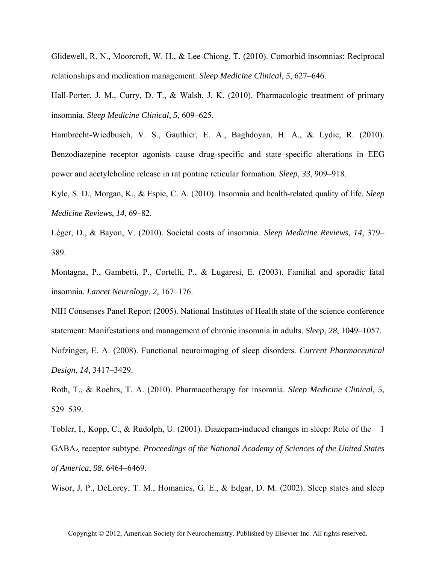Glidewell, R. N., Moorcroft, W. H., & Lee-Chiong, T. (2010). Comorbid insomnias: Reciprocal relationships and medication management. *Sleep Medicine Clinical*, *5*, 627–646.

Hall-Porter, J. M., Curry, D. T., & Walsh, J. K. (2010). Pharmacologic treatment of primary insomnia. *Sleep Medicine Clinical*, *5*, 609–625.

Hambrecht-Wiedbusch, V. S., Gauthier, E. A., Baghdoyan, H. A., & Lydic, R. (2010). Benzodiazepine receptor agonists cause drug-specific and state–specific alterations in EEG power and acetylcholine release in rat pontine reticular formation. *Sleep*, *33*, 909–918.

Kyle, S. D., Morgan, K., & Espie, C. A. (2010). Insomnia and health-related quality of life. *Sleep Medicine Reviews*, *14*, 69–82.

Léger, D., & Bayon, V. (2010). Societal costs of insomnia. *Sleep Medicine Reviews*, *14*, 379– 389.

Montagna, P., Gambetti, P., Cortelli, P., & Lugaresi, E. (2003). Familial and sporadic fatal insomnia. *Lancet Neurology*, *2*, 167–176.

NIH Consenses Panel Report (2005). National Institutes of Health state of the science conference statement: Manifestations and management of chronic insomnia in adults. *Sleep*, *28*, 1049–1057.

Nofzinger, E. A. (2008). Functional neuroimaging of sleep disorders. *Current Pharmaceutical Design*, *14*, 3417–3429.

Roth, T., & Roehrs, T. A. (2010). Pharmacotherapy for insomnia. *Sleep Medicine Clinical*, *5*, 529–539.

Tobler, I., Kopp, C., & Rudolph, U. (2001). Diazepam-induced changes in sleep: Role of the 1 GABAA receptor subtype. *Proceedings of the National Academy of Sciences of the United States of America*, *98*, 6464–6469.

Wisor, J. P., DeLorey, T. M., Homanics, G. E., & Edgar, D. M. (2002). Sleep states and sleep